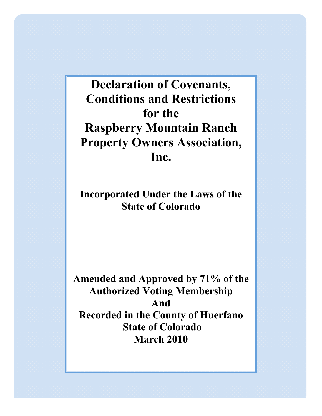# **Declaration of Covenants, Conditions and Restrictions for the Raspberry Mountain Ranch Property Owners Association, Inc.**

**Incorporated Under the Laws of the State of Colorado**

**Amended and Approved by 71% of the Authorized Voting Membership And Recorded in the County of Huerfano State of Colorado March 2010**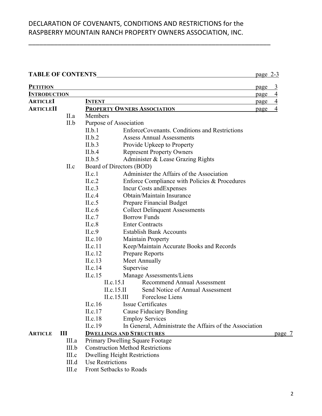\_\_\_\_\_\_\_\_\_\_\_\_\_\_\_\_\_\_\_\_\_\_\_\_\_\_\_\_\_\_\_\_\_\_\_\_\_\_\_\_\_\_\_\_\_\_\_\_\_\_\_\_\_\_\_\_\_\_\_\_\_\_\_\_\_\_

#### TABLE OF CONTENTS page 2-3

| <b>PETITION</b>     |       |                          |                                                         | page | $\overline{3}$ |
|---------------------|-------|--------------------------|---------------------------------------------------------|------|----------------|
| <b>INTRODUCTION</b> |       |                          |                                                         | page | $\overline{4}$ |
| <b>ARTICLEI</b>     |       | <b>INTENT</b>            |                                                         | page | $\overline{4}$ |
| <b>ARTICLEII</b>    |       |                          | <b>PROPERTY OWNERS ASSOCIATION</b>                      | page | $\overline{4}$ |
|                     | II.a  | Members                  |                                                         |      |                |
|                     | II.b  | Purpose of Association   |                                                         |      |                |
|                     |       | II.b.1                   | EnforceCovenants. Conditions and Restrictions           |      |                |
|                     |       | II.b.2                   | <b>Assess Annual Assessments</b>                        |      |                |
|                     |       | II.b.3                   | Provide Upkeep to Property                              |      |                |
|                     |       | II.b.4                   | <b>Represent Property Owners</b>                        |      |                |
|                     |       | II.b.5                   | Administer & Lease Grazing Rights                       |      |                |
|                     | II.c  | Board of Directors (BOD) |                                                         |      |                |
|                     |       | II.c.1                   | Administer the Affairs of the Association               |      |                |
|                     |       | II.c.2                   | Enforce Compliance with Policies & Procedures           |      |                |
|                     |       | II.c.3                   | <b>Incur Costs and Expenses</b>                         |      |                |
|                     |       | II.c.4                   | Obtain/Maintain Insurance                               |      |                |
|                     |       | II.c.5                   | Prepare Financial Budget                                |      |                |
|                     |       | II.c.6                   | <b>Collect Delinquent Assessments</b>                   |      |                |
|                     |       | II.c.7                   | <b>Borrow Funds</b>                                     |      |                |
|                     |       | II.c.8                   | <b>Enter Contracts</b>                                  |      |                |
|                     |       | II.c.9                   | <b>Establish Bank Accounts</b>                          |      |                |
|                     |       | II.c.10                  | <b>Maintain Property</b>                                |      |                |
|                     |       | II.c.11                  | Keep/Maintain Accurate Books and Records                |      |                |
|                     |       | II.c.12                  | Prepare Reports                                         |      |                |
|                     |       | II.c.13                  | Meet Annually                                           |      |                |
|                     |       | II.c.14                  | Supervise                                               |      |                |
|                     |       | II.c.15                  | Manage Assessments/Liens                                |      |                |
|                     |       | II.c.15.I                | <b>Recommend Annual Assessment</b>                      |      |                |
|                     |       | II.c.15.II               | Send Notice of Annual Assessment                        |      |                |
|                     |       | II.c.15.III              | Foreclose Liens                                         |      |                |
|                     |       | II.c.16                  | <b>Issue Certificates</b>                               |      |                |
|                     |       | II.c.17                  | <b>Cause Fiduciary Bonding</b>                          |      |                |
|                     |       | II.c.18                  | <b>Employ Services</b>                                  |      |                |
|                     |       | II.c.19                  | In General, Administrate the Affairs of the Association |      |                |
| <b>ARTICLE</b>      | Ш     |                          | <b>DWELLINGS AND STRUCTURES</b>                         |      | page 7         |
|                     | III.a |                          | Primary Dwelling Square Footage                         |      |                |
|                     | III.b |                          | <b>Construction Method Restrictions</b>                 |      |                |
|                     | III.c |                          | <b>Dwelling Height Restrictions</b>                     |      |                |
|                     | III.d | <b>Use Restrictions</b>  |                                                         |      |                |
|                     | III.e | Front Setbacks to Roads  |                                                         |      |                |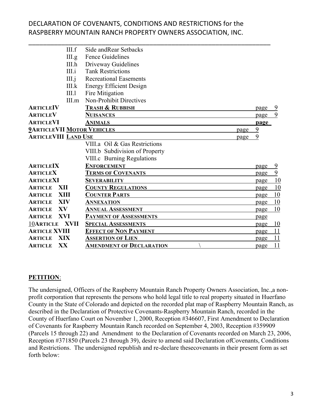\_\_\_\_\_\_\_\_\_\_\_\_\_\_\_\_\_\_\_\_\_\_\_\_\_\_\_\_\_\_\_\_\_\_\_\_\_\_\_\_\_\_\_\_\_\_\_\_\_\_\_\_\_\_\_\_\_\_\_\_\_\_\_\_\_\_

|                                           | III.f       | Side and Rear Setbacks          |  |      |           |
|-------------------------------------------|-------------|---------------------------------|--|------|-----------|
|                                           | III.g.      | <b>Fence Guidelines</b>         |  |      |           |
|                                           | III.h       | Driveway Guidelines             |  |      |           |
|                                           | III.i       | <b>Tank Restrictions</b>        |  |      |           |
|                                           | $III.$ j    | <b>Recreational Easements</b>   |  |      |           |
|                                           | III.k       | <b>Energy Efficient Design</b>  |  |      |           |
|                                           | III.1       | Fire Mitigation                 |  |      |           |
|                                           | III.m       | <b>Non-Prohibit Directives</b>  |  |      |           |
| <b>ARTICLEIV</b>                          |             | <b>TRASH &amp; RUBBISH</b>      |  | page |           |
| <b>ARTICLEV</b>                           |             | <b>NUISANCES</b>                |  | page | 9         |
| <b>ARTICLEVI</b>                          |             | <b>ANIMALS</b>                  |  | page |           |
| <b>2ARTICLEVII MOTOR VEHICLES</b><br>page |             |                                 |  | 9    |           |
| <b>ARTICLEVIII LAND USE</b>               |             | page                            |  | 9    |           |
|                                           |             | VIII.a Oil & Gas Restrictions   |  |      |           |
|                                           |             | VIII.b Subdivision of Property  |  |      |           |
|                                           |             | VIII.c Burning Regulations      |  |      |           |
| <b>ARTICLEIX</b>                          |             | <b>ENFORCEMENT</b>              |  | page | 9         |
| <b>ARTICLEX</b>                           |             | <b>TERMS OF COVENANTS</b>       |  | page | 9         |
| <b>ARTICLEXI</b>                          |             | <b>SEVERABILITY</b>             |  | page | 10        |
| XII<br><b>ARTICLE</b>                     |             | <b>COUNTY REGULATIONS</b>       |  | page | <u>10</u> |
| <b>XIII</b><br><b>ARTICLE</b>             |             | <b>COUNTER PARTS</b>            |  | page | 10        |
| <b>XIV</b><br><b>ARTICLE</b>              |             | <b>ANNEXATION</b>               |  | page | 10        |
| XV<br><b>ARTICLE</b>                      |             | <b>ANNUAL ASSESSMENT</b>        |  | page | 10        |
| XVI<br><b>ARTICLE</b>                     |             | <b>PAYMENT OF ASSESSMENTS</b>   |  | page |           |
| <b>10ARTICLE</b>                          | <b>XVII</b> | <b>SPECIAL ASSESSMENTS</b>      |  | page | 10        |
| <b>ARTICLE XVIII</b>                      |             | <b>EFFECT OF NON PAYMENT</b>    |  | page | 11        |
| <b>XIX</b><br><b>ARTICLE</b>              |             | <b>ASSERTION OF LIEN</b>        |  | page | 11        |
| XX<br><b>ARTICLE</b>                      |             | <b>AMENDMENT OF DECLARATION</b> |  | page | 11        |

#### **PETITION**:

The undersigned, Officers of the Raspberry Mountain Ranch Property Owners Association, Inc.,a nonprofit corporation that represents the persons who hold legal title to real property situated in Huerfano County in the State of Colorado and depicted on the recorded plat map of Raspberry Mountain Ranch, as described in the Declaration of Protective Covenants-Raspberry Mountain Ranch, recorded in the County of Huerfano Court on November 1, 2000, Reception #346607, First Amendment to Declaration of Covenants for Raspberry Mountain Ranch recorded on September 4, 2003, Reception #359909 (Parcels 15 through 22) and Amendment to the Declaration of Covenants recorded on March 23, 2006, Reception #371850 (Parcels 23 through 39), desire to amend said Declaration ofCovenants, Conditions and Restrictions. The undersigned republish and re-declare thesecovenants in their present form as set forth below: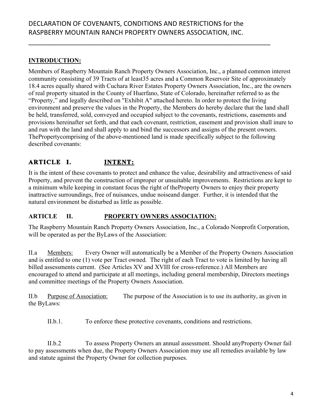\_\_\_\_\_\_\_\_\_\_\_\_\_\_\_\_\_\_\_\_\_\_\_\_\_\_\_\_\_\_\_\_\_\_\_\_\_\_\_\_\_\_\_\_\_\_\_\_\_\_\_\_\_\_\_\_\_\_\_\_\_\_\_\_\_\_

## **INTRODUCTION:**

Members of Raspberry Mountain Ranch Property Owners Association, Inc., a planned common interest community consisting of 39 Tracts of at least35 acres and a Common Reservoir Site of approximately 18.4 acres equally shared with Cuchara River Estates Property Owners Association, Inc., are the owners of real property situated in the County of Huerfano, State of Colorado, hereinafter referred to as the "Property," and legally described on "Exhibit A" attached hereto. In order to protect the living environment and preserve the values in the Property, the Members do hereby declare that the land shall be held, transferred, sold, conveyed and occupied subject to the covenants, restrictions, easements and provisions hereinafter set forth, and that each covenant, restriction, easement and provision shall inure to and run with the land and shall apply to and bind the successors and assigns of the present owners. ThePropertycomprising of the above-mentioned land is made specifically subject to the following described covenants:

## **ARTICLE I. INTENT:**

It is the intent of these covenants to protect and enhance the value, desirability and attractiveness of said Property, and prevent the construction of improper or unsuitable improvements. Restrictions are kept to a minimum while keeping in constant focus the right of theProperty Owners to enjoy their property inattractive surroundings, free of nuisances, undue noiseand danger. Further, it is intended that the natural environment be disturbed as little as possible.

#### **ARTICLE II. PROPERTY OWNERS ASSOCIATION:**

The Raspberry Mountain Ranch Property Owners Association, Inc., a Colorado Nonprofit Corporation, will be operated as per the ByLaws of the Association:

II.a Members: Every Owner will automatically be a Member of the Property Owners Association and is entitled to one (1) vote per Tract owned. The right of each Tract to vote is limited by having all billed assessments current. (See Articles XV and XVIII for cross-reference.) All Members are encouraged to attend and participate at all meetings, including general membership, Directors meetings and committee meetings of the Property Owners Association.

II.b Purpose of Association: The purpose of the Association is to use its authority, as given in the ByLaws:

II.b.1. To enforce these protective covenants, conditions and restrictions.

II.b.2 To assess Property Owners an annual assessment. Should anyProperty Owner fail to pay assessments when due, the Property Owners Association may use all remedies available by law and statute against the Property Owner for collection purposes.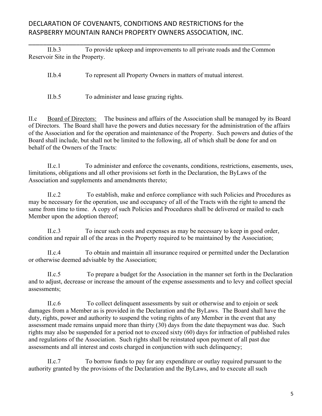II.b.3 To provide upkeep and improvements to all private roads and the Common Reservoir Site in the Property.

\_\_\_\_\_\_\_\_\_\_\_\_\_\_\_\_\_\_\_\_\_\_\_\_\_\_\_\_\_\_\_\_\_\_\_\_\_\_\_\_\_\_\_\_\_\_\_\_\_\_\_\_\_\_\_\_\_\_\_\_\_\_\_\_\_\_

II.b.4 To represent all Property Owners in matters of mutual interest.

II.b.5 To administer and lease grazing rights.

II.c Board of Directors: The business and affairs of the Association shall be managed by its Board of Directors. The Board shall have the powers and duties necessary for the administration of the affairs of the Association and for the operation and maintenance of the Property. Such powers and duties of the Board shall include, but shall not be limited to the following, all of which shall be done for and on behalf of the Owners of the Tracts:

II.c.1 To administer and enforce the covenants, conditions, restrictions, easements, uses, limitations, obligations and all other provisions set forth in the Declaration, the ByLaws of the Association and supplements and amendments thereto;

II.c.2 To establish, make and enforce compliance with such Policies and Procedures as may be necessary for the operation, use and occupancy of all of the Tracts with the right to amend the same from time to time. A copy of such Policies and Procedures shall be delivered or mailed to each Member upon the adoption thereof;

II.c.3 To incur such costs and expenses as may be necessary to keep in good order, condition and repair all of the areas in the Property required to be maintained by the Association;

II.c.4 To obtain and maintain all insurance required or permitted under the Declaration or otherwise deemed advisable by the Association;

II.c.5 To prepare a budget for the Association in the manner set forth in the Declaration and to adjust, decrease or increase the amount of the expense assessments and to levy and collect special assessments;

II.c.6 To collect delinquent assessments by suit or otherwise and to enjoin or seek damages from a Member as is provided in the Declaration and the ByLaws. The Board shall have the duty, rights, power and authority to suspend the voting rights of any Member in the event that any assessment made remains unpaid more than thirty (30) days from the date thepayment was due. Such rights may also be suspended for a period not to exceed sixty (60) days for infraction of published rules and regulations of the Association. Such rights shall be reinstated upon payment of all past due assessments and all interest and costs charged in conjunction with such delinquency;

II.c.7 To borrow funds to pay for any expenditure or outlay required pursuant to the authority granted by the provisions of the Declaration and the ByLaws, and to execute all such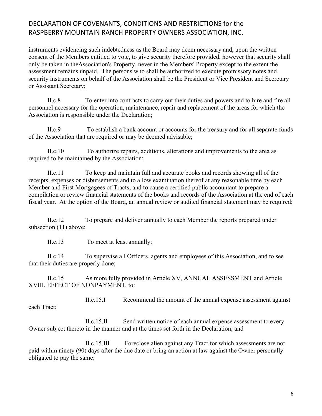instruments evidencing such indebtedness as the Board may deem necessary and, upon the written consent of the Members entitled to vote, to give security therefore provided, however that security shall only be taken in theAssociation's Property, never in the Members' Property except to the extent the assessment remains unpaid. The persons who shall be authorized to execute promissory notes and security instruments on behalf of the Association shall be the President or Vice President and Secretary or Assistant Secretary;

\_\_\_\_\_\_\_\_\_\_\_\_\_\_\_\_\_\_\_\_\_\_\_\_\_\_\_\_\_\_\_\_\_\_\_\_\_\_\_\_\_\_\_\_\_\_\_\_\_\_\_\_\_\_\_\_\_\_\_\_\_\_\_\_\_\_

II.c.8 To enter into contracts to carry out their duties and powers and to hire and fire all personnel necessary for the operation, maintenance, repair and replacement of the areas for which the Association is responsible under the Declaration;

II.c.9 To establish a bank account or accounts for the treasury and for all separate funds of the Association that are required or may be deemed advisable;

II.c.10 To authorize repairs, additions, alterations and improvements to the area as required to be maintained by the Association;

II.c.11 To keep and maintain full and accurate books and records showing all of the receipts, expenses or disbursements and to allow examination thereof at any reasonable time by each Member and First Mortgagees of Tracts, and to cause a certified public accountant to prepare a compilation or review financial statements of the books and records of the Association at the end of each fiscal year. At the option of the Board, an annual review or audited financial statement may be required;

II.c.12 To prepare and deliver annually to each Member the reports prepared under subsection (11) above;

II.c.13 To meet at least annually;

II.c.14 To supervise all Officers, agents and employees of this Association, and to see that their duties are properly done;

II.c.15 As more fully provided in Article XV, ANNUAL ASSESSMENT and Article XVIII, EFFECT OF NONPAYMENT, to:

II.c.15.I Recommend the amount of the annual expense assessment against each Tract;

II.c.15.II Send written notice of each annual expense assessment to every Owner subject thereto in the manner and at the times set forth in the Declaration; and

II.c.15.III Foreclose alien against any Tract for which assessments are not paid within ninety (90) days after the due date or bring an action at law against the Owner personally obligated to pay the same;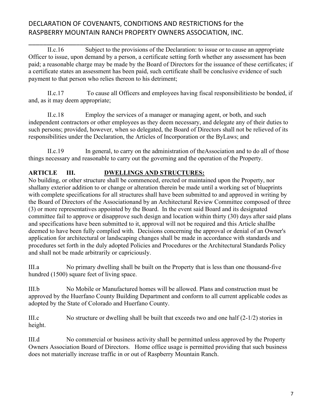\_\_\_\_\_\_\_\_\_\_\_\_\_\_\_\_\_\_\_\_\_\_\_\_\_\_\_\_\_\_\_\_\_\_\_\_\_\_\_\_\_\_\_\_\_\_\_\_\_\_\_\_\_\_\_\_\_\_\_\_\_\_\_\_\_\_

II.c.16 Subject to the provisions of the Declaration: to issue or to cause an appropriate Officer to issue, upon demand by a person, a certificate setting forth whether any assessment has been paid; a reasonable charge may be made by the Board of Directors for the issuance of these certificates; if a certificate states an assessment has been paid, such certificate shall be conclusive evidence of such payment to that person who relies thereon to his detriment;

II.c.17 To cause all Officers and employees having fiscal responsibilitiesto be bonded, if and, as it may deem appropriate;

II.c.18 Employ the services of a manager or managing agent, or both, and such independent contractors or other employees as they deem necessary, and delegate any of their duties to such persons; provided, however, when so delegated, the Board of Directors shall not be relieved of its responsibilities under the Declaration, the Articles of Incorporation or the ByLaws; and

II.c.19 In general, to carry on the administration of theAssociation and to do all of those things necessary and reasonable to carry out the governing and the operation of the Property.

## **ARTICLE III. DWELLINGS AND STRUCTURES:**

No building, or other structure shall be commenced, erected or maintained upon the Property, nor shallany exterior addition to or change or alteration therein be made until a working set of blueprints with complete specifications for all structures shall have been submitted to and approved in writing by the Board of Directors of the Associationand by an Architectural Review Committee composed of three (3) or more representatives appointed by the Board. In the event said Board and its designated committee fail to approve or disapprove such design and location within thirty (30) days after said plans and specifications have been submitted to it, approval will not be required and this Article shallbe deemed to have been fully complied with. Decisions concerning the approval or denial of an Owner's application for architectural or landscaping changes shall be made in accordance with standards and procedures set forth in the duly adopted Policies and Procedures or the Architectural Standards Policy and shall not be made arbitrarily or capriciously.

III.a No primary dwelling shall be built on the Property that is less than one thousand-five hundred (1500) square feet of living space.

III.b No Mobile or Manufactured homes will be allowed. Plans and construction must be approved by the Huerfano County Building Department and conform to all current applicable codes as adopted by the State of Colorado and Huerfano County.

III.c No structure or dwelling shall be built that exceeds two and one half (2-1/2) stories in height.

III.d No commercial or business activity shall be permitted unless approved by the Property Owners Association Board of Directors. Home office usage is permitted providing that such business does not materially increase traffic in or out of Raspberry Mountain Ranch.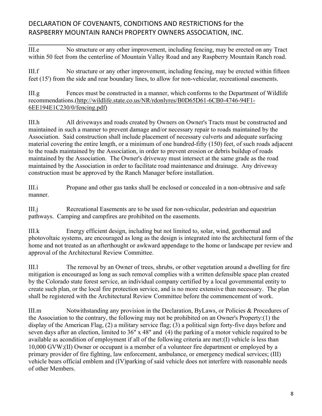III.e No structure or any other improvement, including fencing, may be erected on any Tract within 50 feet from the centerline of Mountain Valley Road and any Raspberry Mountain Ranch road.

\_\_\_\_\_\_\_\_\_\_\_\_\_\_\_\_\_\_\_\_\_\_\_\_\_\_\_\_\_\_\_\_\_\_\_\_\_\_\_\_\_\_\_\_\_\_\_\_\_\_\_\_\_\_\_\_\_\_\_\_\_\_\_\_\_\_

III.f No structure or any other improvement, including fencing, may be erected within fifteen feet (15') from the side and rear boundary lines, to allow for non-vehicular, recreational easements.

III.g Fences must be constructed in a manner, which conforms to the Department of Wildlife recommendations.(http://wildlife.state.co.us/NR/rdonlyres/B0D65D61-6CB0-4746-94F1- 6EE194E1C230/0/fencing.pdf)

III.h All driveways and roads created by Owners on Owner's Tracts must be constructed and maintained in such a manner to prevent damage and/or necessary repair to roads maintained by the Association. Said construction shall include placement of necessary culverts and adequate surfacing material covering the entire length, or a minimum of one hundred-fifty (150) feet, of such roads adjacent to the roads maintained by the Association, in order to prevent erosion or debris buildup of roads maintained by the Association. The Owner's driveway must intersect at the same grade as the road maintained by the Association in order to facilitate road maintenance and drainage. Any driveway construction must be approved by the Ranch Manager before installation.

III.i Propane and other gas tanks shall be enclosed or concealed in a non-obtrusive and safe manner.

III.j Recreational Easements are to be used for non-vehicular, pedestrian and equestrian pathways. Camping and campfires are prohibited on the easements.

III.k Energy efficient design, including but not limited to, solar, wind, geothermal and photovoltaic systems, are encouraged as long as the design is integrated into the architectural form of the home and not treated as an afterthought or awkward appendage to the home or landscape per review and approval of the Architectural Review Committee.

III.l The removal by an Owner of trees, shrubs, or other vegetation around a dwelling for fire mitigation is encouraged as long as such removal complies with a written defensible space plan created by the Colorado state forest service, an individual company certified by a local governmental entity to create such plan, or the local fire protection service, and is no more extensive than necessary. The plan shall be registered with the Architectural Review Committee before the commencement of work.

III.m Notwithstanding any provision in the Declaration, ByLaws, or Policies & Procedures of the Association to the contrary, the following may not be prohibited on an Owner's Property:(1) the display of the American Flag, (2) a military service flag; (3) a political sign forty-five days before and seven days after an election, limited to 36" x 48" and (4) the parking of a motor vehicle required to be available as acondition of employment if all of the following criteria are met:(I) vehicle is less than 10,000 GVW;(II) Owner or occupant is a member of a volunteer fire department or employed by a primary provider of fire fighting, law enforcement, ambulance, or emergency medical services; (III) vehicle bears official emblem and (IV)parking of said vehicle does not interfere with reasonable needs of other Members.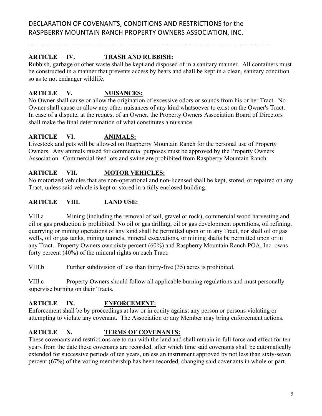\_\_\_\_\_\_\_\_\_\_\_\_\_\_\_\_\_\_\_\_\_\_\_\_\_\_\_\_\_\_\_\_\_\_\_\_\_\_\_\_\_\_\_\_\_\_\_\_\_\_\_\_\_\_\_\_\_\_\_\_\_\_\_\_\_\_

#### **ARTICLE IV. TRASH AND RUBBISH:**

Rubbish, garbage or other waste shall be kept and disposed of in a sanitary manner. All containers must be constructed in a manner that prevents access by bears and shall be kept in a clean, sanitary condition so as to not endanger wildlife.

## **ARTICLE V. NUISANCES:**

No Owner shall cause or allow the origination of excessive odors or sounds from his or her Tract. No Owner shall cause or allow any other nuisances of any kind whatsoever to exist on the Owner's Tract. In case of a dispute, at the request of an Owner, the Property Owners Association Board of Directors shall make the final determination of what constitutes a nuisance.

#### **ARTICLE VI. ANIMALS:**

Livestock and pets will be allowed on Raspberry Mountain Ranch for the personal use of Property Owners. Any animals raised for commercial purposes must be approved by the Property Owners Association. Commercial feed lots and swine are prohibited from Raspberry Mountain Ranch.

#### **ARTICLE VII. MOTOR VEHICLES:**

No motorized vehicles that are non-operational and non-licensed shall be kept, stored, or repaired on any Tract, unless said vehicle is kept or stored in a fully enclosed building.

#### **ARTICLE VIII. LAND USE:**

VIII.a Mining (including the removal of soil, gravel or rock), commercial wood harvesting and oil or gas production is prohibited. No oil or gas drilling, oil or gas development operations, oil refining, quarrying or mining operations of any kind shall be permitted upon or in any Tract, nor shall oil or gas wells, oil or gas tanks, mining tunnels, mineral excavations, or mining shafts be permitted upon or in any Tract. Property Owners own sixty percent (60%) and Raspberry Mountain Ranch POA, Inc. owns forty percent (40%) of the mineral rights on each Tract.

VIII.b Further subdivision of less than thirty-five (35) acres is prohibited.

VIII.c Property Owners should follow all applicable burning regulations and must personally supervise burning on their Tracts.

## **ARTICLE IX. ENFORCEMENT:**

Enforcement shall be by proceedings at law or in equity against any person or persons violating or attempting to violate any covenant. The Association or any Member may bring enforcement actions.

## **ARTICLE X. TERMS OF COVENANTS:**

These covenants and restrictions are to run with the land and shall remain in full force and effect for ten years from the date these covenants are recorded, after which time said covenants shall be automatically extended for successive periods of ten years, unless an instrument approved by not less than sixty-seven percent (67%) of the voting membership has been recorded, changing said covenants in whole or part.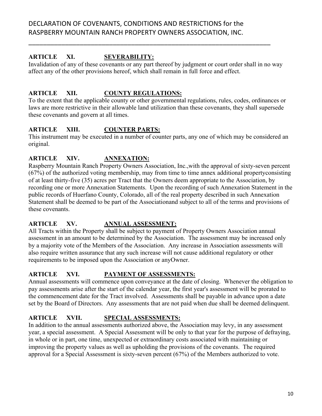#### **ARTICLE XI. SEVERABILITY:**

Invalidation of any of these covenants or any part thereof by judgment or court order shall in no way affect any of the other provisions hereof, which shall remain in full force and effect.

\_\_\_\_\_\_\_\_\_\_\_\_\_\_\_\_\_\_\_\_\_\_\_\_\_\_\_\_\_\_\_\_\_\_\_\_\_\_\_\_\_\_\_\_\_\_\_\_\_\_\_\_\_\_\_\_\_\_\_\_\_\_\_\_\_\_

#### **ARTICLE XII. COUNTY REGULATIONS:**

To the extent that the applicable county or other governmental regulations, rules, codes, ordinances or laws are more restrictive in their allowable land utilization than these covenants, they shall supersede these covenants and govern at all times.

#### **ARTICLE XIII. COUNTER PARTS:**

This instrument may be executed in a number of counter parts, any one of which may be considered an original.

#### **ARTICLE XIV. ANNEXATION:**

Raspberry Mountain Ranch Property Owners Association, Inc.,with the approval of sixty-seven percent (67%) of the authorized voting membership, may from time to time annex additional propertyconsisting of at least thirty-five (35) acres per Tract that the Owners deem appropriate to the Association, by recording one or more Annexation Statements. Upon the recording of such Annexation Statement in the public records of Huerfano County, Colorado, all of the real property described in such Annexation Statement shall be deemed to be part of the Associationand subject to all of the terms and provisions of these covenants.

## **ARTICLE XV. ANNUAL ASSESSMENT:**

All Tracts within the Property shall be subject to payment of Property Owners Association annual assessment in an amount to be determined by the Association. The assessment may be increased only by a majority vote of the Members of the Association. Any increase in Association assessments will also require written assurance that any such increase will not cause additional regulatory or other requirements to be imposed upon the Association or anyOwner.

#### **ARTICLE XVI. PAYMENT OF ASSESSMENTS:**

Annual assessments will commence upon conveyance at the date of closing. Whenever the obligation to pay assessments arise after the start of the calendar year, the first year's assessment will be prorated to the commencement date for the Tract involved. Assessments shall be payable in advance upon a date set by the Board of Directors. Any assessments that are not paid when due shall be deemed delinquent.

## **ARTICLE XVII. SPECIAL ASSESSMENTS:**

In addition to the annual assessments authorized above, the Association may levy, in any assessment year, a special assessment. A Special Assessment will be only to that year for the purpose of defraying, in whole or in part, one time, unexpected or extraordinary costs associated with maintaining or improving the property values as well as upholding the provisions of the covenants. The required approval for a Special Assessment is sixty-seven percent (67%) of the Members authorized to vote.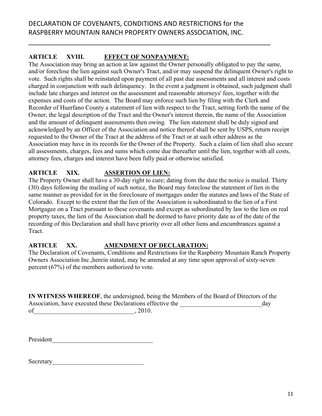\_\_\_\_\_\_\_\_\_\_\_\_\_\_\_\_\_\_\_\_\_\_\_\_\_\_\_\_\_\_\_\_\_\_\_\_\_\_\_\_\_\_\_\_\_\_\_\_\_\_\_\_\_\_\_\_\_\_\_\_\_\_\_\_\_\_

#### **ARTICLE XVIII. EFFECT OF NONPAYMENT:**

The Association may bring an action at law against the Owner personally obligated to pay the same, and/or foreclose the lien against such Owner's Tract, and/or may suspend the delinquent Owner's right to vote. Such rights shall be reinstated upon payment of all past due assessments and all interest and costs charged in conjunction with such delinquency. In the event a judgment is obtained, such judgment shall include late charges and interest on the assessment and reasonable attorneys' fees, together with the expenses and costs of the action. The Board may enforce such lien by filing with the Clerk and Recorder of Huerfano County a statement of lien with respect to the Tract, setting forth the name of the Owner, the legal description of the Tract and the Owner's interest therein, the name of the Association and the amount of delinquent assessments then owing. The lien statement shall be duly signed and acknowledged by an Officer of the Association and notice thereof shall be sent by USPS, return receipt requested to the Owner of the Tract at the address of the Tract or at such other address as the Association may have in its records for the Owner of the Property. Such a claim of lien shall also secure all assessments, charges, fees and sums which come due thereafter until the lien, together with all costs, attorney fees, charges and interest have been fully paid or otherwise satisfied.

## **ARTICLE XIX. ASSERTION OF LIEN:**

The Property Owner shall have a 30-day right to cure; dating from the date the notice is mailed. Thirty (30) days following the mailing of such notice, the Board may foreclose the statement of lien in the same manner as provided for in the foreclosure of mortgages under the statutes and laws of the State of Colorado. Except to the extent that the lien of the Association is subordinated to the lien of a First Mortgagee on a Tract pursuant to these covenants and except as subordinated by law to the lien on real property taxes, the lien of the Association shall be deemed to have priority date as of the date of the recording of this Declaration and shall have priority over all other liens and encumbrances against a Tract.

#### **ARTICLE XX. AMENDMENT OF DECLARATION:**

The Declaration of Covenants, Conditions and Restrictions for the Raspberry Mountain Ranch Property Owners Association Inc.,herein stated, may be amended at any time upon approval of sixty-seven percent (67%) of the members authorized to vote.

**IN WITNESS WHEREOF**, the undersigned, being the Members of the Board of Directors of the Association, have executed these Declarations effective the day of\_\_\_\_\_\_\_\_\_\_\_\_\_\_\_\_\_\_\_\_\_\_\_\_\_\_\_\_\_\_\_\_, 2010.

President\_\_\_\_\_\_\_\_\_\_\_\_\_\_\_\_\_\_\_\_\_\_\_\_\_\_\_\_\_\_\_\_

Secretary\_\_\_\_\_\_\_\_\_\_\_\_\_\_\_\_\_\_\_\_\_\_\_\_\_\_\_\_\_